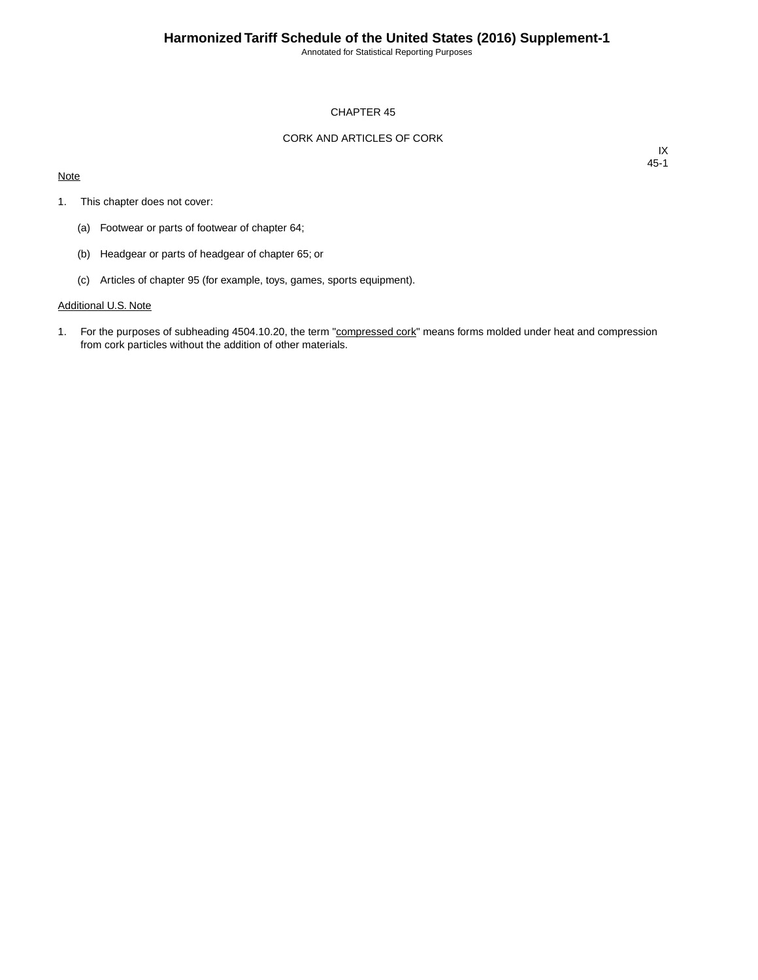Annotated for Statistical Reporting Purposes

## CHAPTER 45

## CORK AND ARTICLES OF CORK

#### **Note**

IX 45-1

- 1. This chapter does not cover:
	- (a) Footwear or parts of footwear of chapter 64;
	- (b) Headgear or parts of headgear of chapter 65; or
	- (c) Articles of chapter 95 (for example, toys, games, sports equipment).

# Additional U.S. Note

1. For the purposes of subheading 4504.10.20, the term "compressed cork" means forms molded under heat and compression from cork particles without the addition of other materials.